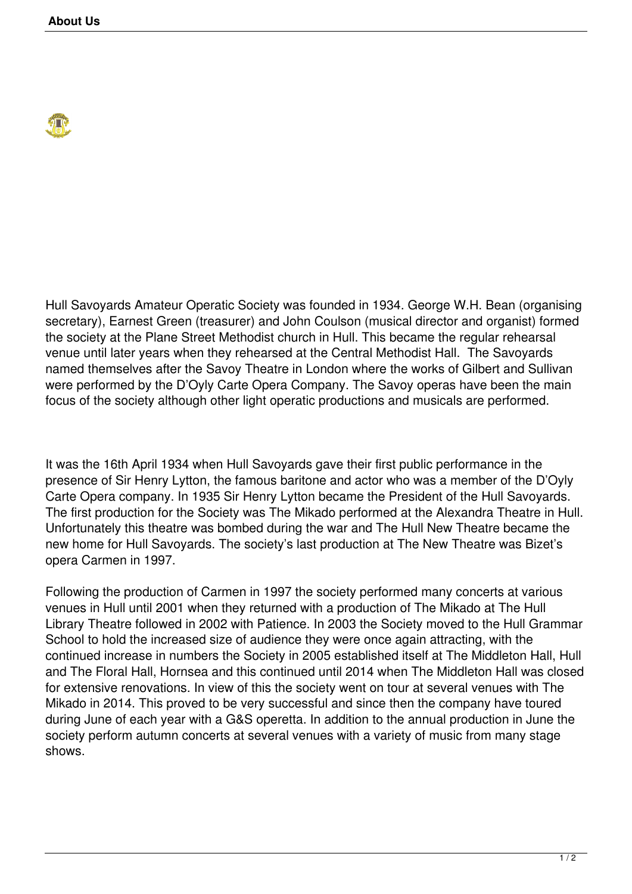

Hull Savoyards Amateur Operatic Society was founded in 1934. George W.H. Bean (organising secretary), Earnest Green (treasurer) and John Coulson (musical director and organist) formed the society at the Plane Street Methodist church in Hull. This became the regular rehearsal venue until later years when they rehearsed at the Central Methodist Hall. The Savoyards named themselves after the Savoy Theatre in London where the works of Gilbert and Sullivan were performed by the D'Oyly Carte Opera Company. The Savoy operas have been the main focus of the society although other light operatic productions and musicals are performed.

It was the 16th April 1934 when Hull Savoyards gave their first public performance in the presence of Sir Henry Lytton, the famous baritone and actor who was a member of the D'Oyly Carte Opera company. In 1935 Sir Henry Lytton became the President of the Hull Savoyards. The first production for the Society was The Mikado performed at the Alexandra Theatre in Hull. Unfortunately this theatre was bombed during the war and The Hull New Theatre became the new home for Hull Savoyards. The society's last production at The New Theatre was Bizet's opera Carmen in 1997.

Following the production of Carmen in 1997 the society performed many concerts at various venues in Hull until 2001 when they returned with a production of The Mikado at The Hull Library Theatre followed in 2002 with Patience. In 2003 the Society moved to the Hull Grammar School to hold the increased size of audience they were once again attracting, with the continued increase in numbers the Society in 2005 established itself at The Middleton Hall, Hull and The Floral Hall, Hornsea and this continued until 2014 when The Middleton Hall was closed for extensive renovations. In view of this the society went on tour at several venues with The Mikado in 2014. This proved to be very successful and since then the company have toured during June of each year with a G&S operetta. In addition to the annual production in June the society perform autumn concerts at several venues with a variety of music from many stage shows.